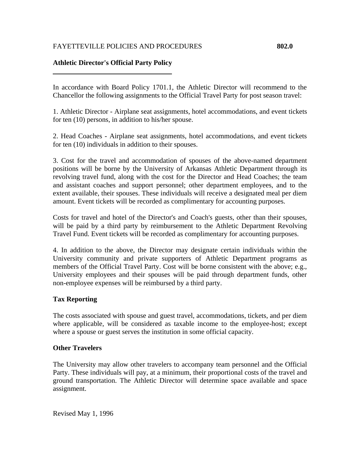## FAYETTEVILLE POLICIES AND PROCEDURES **802.0**

## **Athletic Director's Official Party Policy**

In accordance with Board Policy 1701.1, the Athletic Director will recommend to the Chancellor the following assignments to the Official Travel Party for post season travel:

1. Athletic Director - Airplane seat assignments, hotel accommodations, and event tickets for ten (10) persons, in addition to his/her spouse.

2. Head Coaches - Airplane seat assignments, hotel accommodations, and event tickets for ten (10) individuals in addition to their spouses.

3. Cost for the travel and accommodation of spouses of the above-named department positions will be borne by the University of Arkansas Athletic Department through its revolving travel fund, along with the cost for the Director and Head Coaches; the team and assistant coaches and support personnel; other department employees, and to the extent available, their spouses. These individuals will receive a designated meal per diem amount. Event tickets will be recorded as complimentary for accounting purposes.

Costs for travel and hotel of the Director's and Coach's guests, other than their spouses, will be paid by a third party by reimbursement to the Athletic Department Revolving Travel Fund. Event tickets will be recorded as complimentary for accounting purposes.

4. In addition to the above, the Director may designate certain individuals within the University community and private supporters of Athletic Department programs as members of the Official Travel Party. Cost will be borne consistent with the above; e.g., University employees and their spouses will be paid through department funds, other non-employee expenses will be reimbursed by a third party.

## **Tax Reporting**

The costs associated with spouse and guest travel, accommodations, tickets, and per diem where applicable, will be considered as taxable income to the employee-host; except where a spouse or guest serves the institution in some official capacity.

## **Other Travelers**

The University may allow other travelers to accompany team personnel and the Official Party. These individuals will pay, at a minimum, their proportional costs of the travel and ground transportation. The Athletic Director will determine space available and space assignment.

Revised May 1, 1996